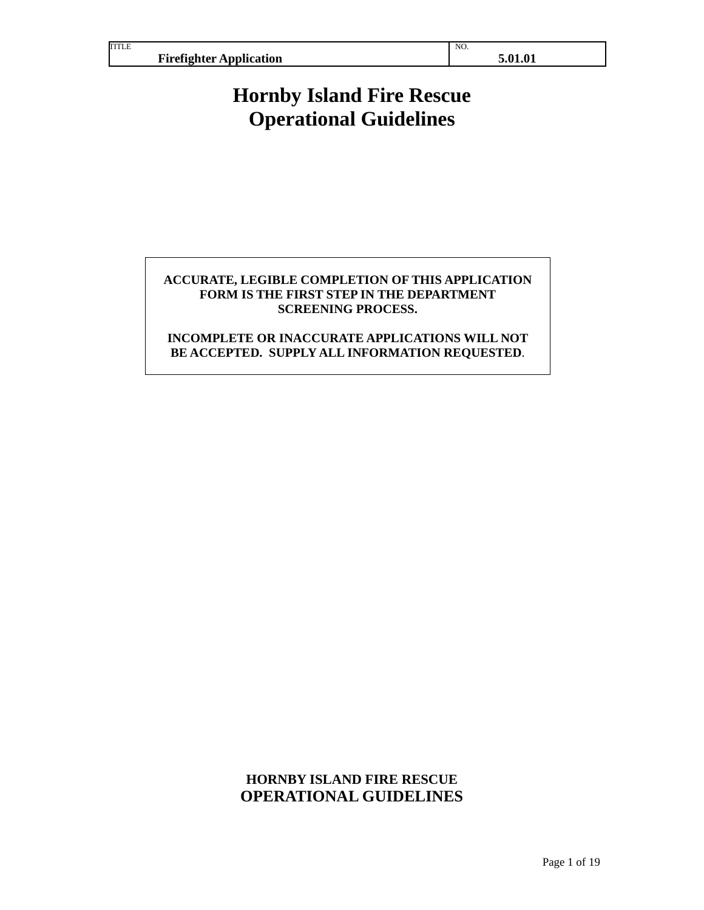TITLE

NO.

# **Hornby Island Fire Rescue Operational Guidelines**

## **ACCURATE, LEGIBLE COMPLETION OF THIS APPLICATION FORM IS THE FIRST STEP IN THE DEPARTMENT SCREENING PROCESS.**

# **INCOMPLETE OR INACCURATE APPLICATIONS WILL NOT BE ACCEPTED. SUPPLY ALL INFORMATION REQUESTED**.

# **HORNBY ISLAND FIRE RESCUE OPERATIONAL GUIDELINES**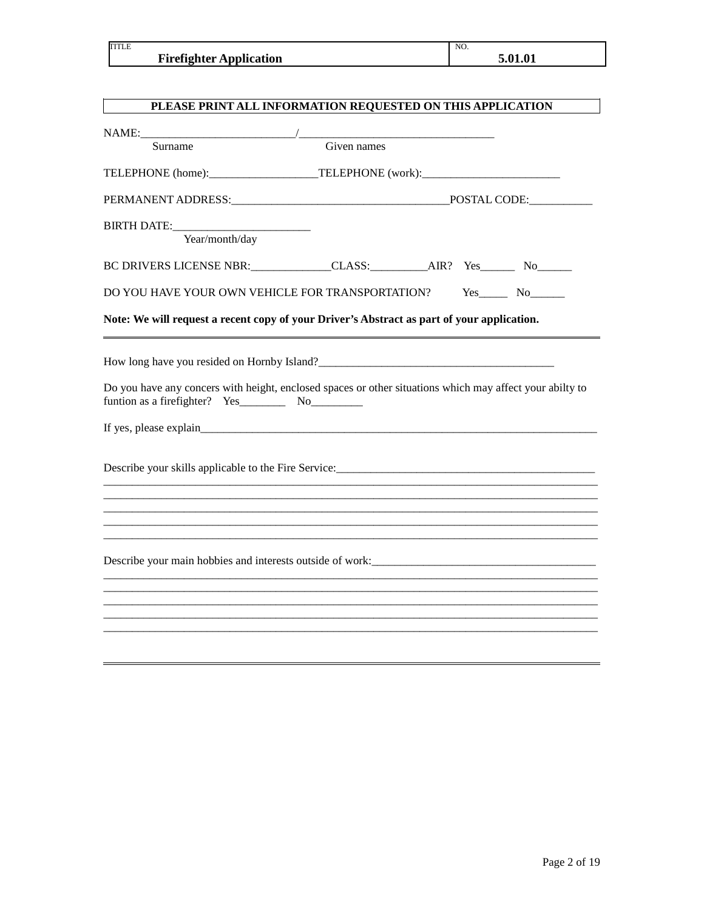| TITLE                          | NO.     |
|--------------------------------|---------|
| <b>Firefighter Application</b> | 5.01.01 |

| PLEASE PRINT ALL INFORMATION REQUESTED ON THIS APPLICATION                                                                                                                                    |             |  |
|-----------------------------------------------------------------------------------------------------------------------------------------------------------------------------------------------|-------------|--|
|                                                                                                                                                                                               |             |  |
| Surname                                                                                                                                                                                       | Given names |  |
| TELEPHONE (home):_______________________TELEPHONE (work):_______________________                                                                                                              |             |  |
|                                                                                                                                                                                               |             |  |
| <b>BIRTH DATE:</b><br>Year/month/day                                                                                                                                                          |             |  |
| BC DRIVERS LICENSE NBR: CLASS: AIR? Yes No No                                                                                                                                                 |             |  |
| DO YOU HAVE YOUR OWN VEHICLE FOR TRANSPORTATION?                                                                                                                                              |             |  |
| Note: We will request a recent copy of your Driver's Abstract as part of your application.                                                                                                    |             |  |
| Do you have any concers with height, enclosed spaces or other situations which may affect your abilty to<br>Describe your skills applicable to the Fire Service:_____________________________ |             |  |
| Describe your main hobbies and interests outside of work:<br><u>Describe your main hobbies</u> and interests outside of work:                                                                 |             |  |
|                                                                                                                                                                                               |             |  |
|                                                                                                                                                                                               |             |  |
|                                                                                                                                                                                               |             |  |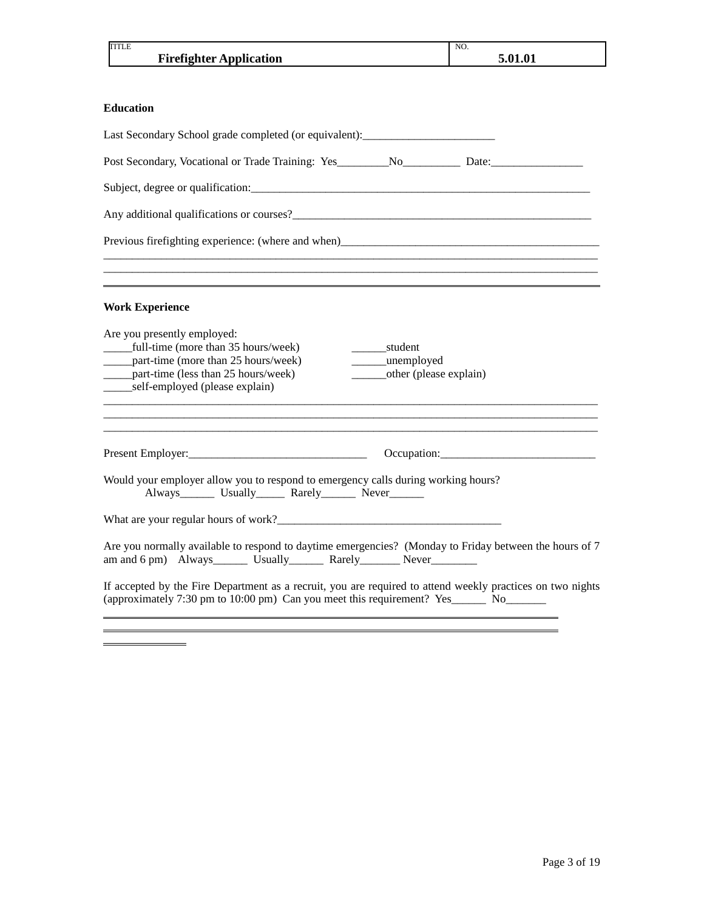| <b>TITLE</b><br><b>Firefighter Application</b>                                                                                                                                                                                                                                                            | NO.<br>5.01.01 |
|-----------------------------------------------------------------------------------------------------------------------------------------------------------------------------------------------------------------------------------------------------------------------------------------------------------|----------------|
|                                                                                                                                                                                                                                                                                                           |                |
| <b>Education</b>                                                                                                                                                                                                                                                                                          |                |
| Last Secondary School grade completed (or equivalent): _________________________                                                                                                                                                                                                                          |                |
|                                                                                                                                                                                                                                                                                                           |                |
|                                                                                                                                                                                                                                                                                                           |                |
| Any additional qualifications or courses?                                                                                                                                                                                                                                                                 |                |
| Previous firefighting experience: (where and when)_______________________________                                                                                                                                                                                                                         |                |
|                                                                                                                                                                                                                                                                                                           |                |
| ,我们也不能在这里的时候,我们也不能在这里的时候,我们也不能不能不能不能不能不能不能不能不能不能不能不能不能。""我们,我们也不能不能不能不能不能不能不能不能不<br><b>Work Experience</b>                                                                                                                                                                                                |                |
| Are you presently employed:<br>______full-time (more than 35 hours/week)<br>student<br>______part-time (more than 25 hours/week)<br>_unemployed<br>$\mathcal{L}^{\text{max}}$ .<br>______part-time (less than 25 hours/week)<br>_________other (please explain)<br>________self-employed (please explain) |                |
|                                                                                                                                                                                                                                                                                                           |                |
| Would your employer allow you to respond to emergency calls during working hours?<br>Always________ Usually_______ Rarely________ Never________                                                                                                                                                           |                |
|                                                                                                                                                                                                                                                                                                           |                |
| Are you normally available to respond to daytime emergencies? (Monday to Friday between the hours of 7<br>am and 6 pm) Always________ Usually_________ Rarely__________ Never_____________                                                                                                                |                |
| If accepted by the Fire Department as a recruit, you are required to attend weekly practices on two nights<br>(approximately 7:30 pm to 10:00 pm) Can you meet this requirement? Yes No                                                                                                                   |                |
|                                                                                                                                                                                                                                                                                                           |                |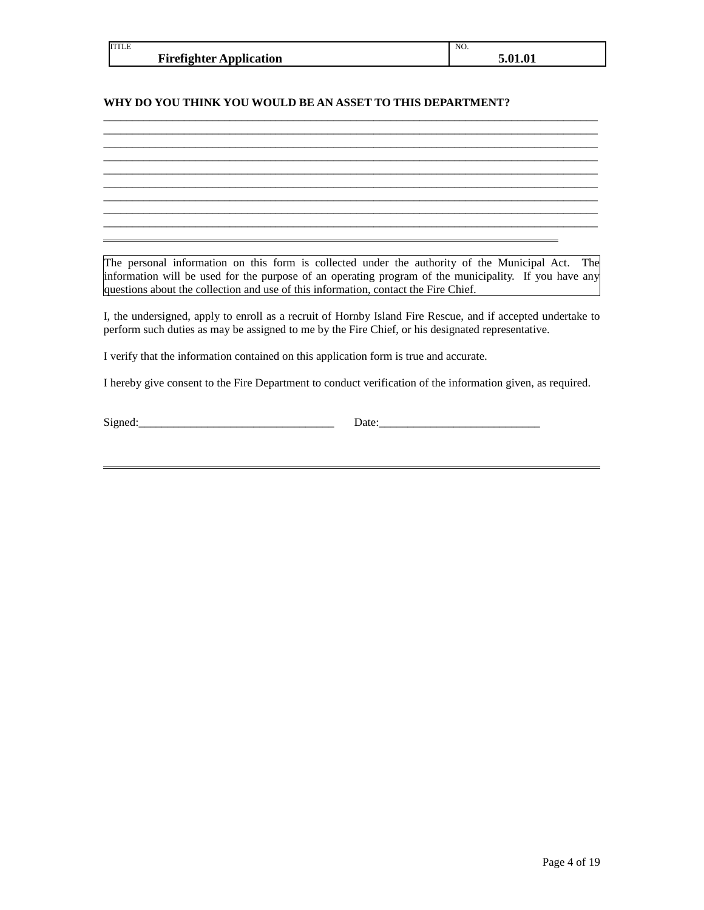| <b>TITLE</b>                   | NO.        |
|--------------------------------|------------|
| <b>Firefighter Application</b> | 1.01<br>л. |

\_\_\_\_\_\_\_\_\_\_\_\_\_\_\_\_\_\_\_\_\_\_\_\_\_\_\_\_\_\_\_\_\_\_\_\_\_\_\_\_\_\_\_\_\_\_\_\_\_\_\_\_\_\_\_\_\_\_\_\_\_\_\_\_\_\_\_\_\_\_\_\_\_\_\_\_\_\_\_\_\_\_\_\_\_\_  $\mathcal{L}_\mathcal{L} = \{ \mathcal{L}_\mathcal{L} = \{ \mathcal{L}_\mathcal{L} = \{ \mathcal{L}_\mathcal{L} = \{ \mathcal{L}_\mathcal{L} = \{ \mathcal{L}_\mathcal{L} = \{ \mathcal{L}_\mathcal{L} = \{ \mathcal{L}_\mathcal{L} = \{ \mathcal{L}_\mathcal{L} = \{ \mathcal{L}_\mathcal{L} = \{ \mathcal{L}_\mathcal{L} = \{ \mathcal{L}_\mathcal{L} = \{ \mathcal{L}_\mathcal{L} = \{ \mathcal{L}_\mathcal{L} = \{ \mathcal{L}_\mathcal{$ 

 $\mathcal{L}_\mathcal{L} = \{ \mathcal{L}_\mathcal{L} = \{ \mathcal{L}_\mathcal{L} = \{ \mathcal{L}_\mathcal{L} = \{ \mathcal{L}_\mathcal{L} = \{ \mathcal{L}_\mathcal{L} = \{ \mathcal{L}_\mathcal{L} = \{ \mathcal{L}_\mathcal{L} = \{ \mathcal{L}_\mathcal{L} = \{ \mathcal{L}_\mathcal{L} = \{ \mathcal{L}_\mathcal{L} = \{ \mathcal{L}_\mathcal{L} = \{ \mathcal{L}_\mathcal{L} = \{ \mathcal{L}_\mathcal{L} = \{ \mathcal{L}_\mathcal{$ 

 $\mathcal{L}_\mathcal{L} = \{ \mathcal{L}_\mathcal{L} = \{ \mathcal{L}_\mathcal{L} = \{ \mathcal{L}_\mathcal{L} = \{ \mathcal{L}_\mathcal{L} = \{ \mathcal{L}_\mathcal{L} = \{ \mathcal{L}_\mathcal{L} = \{ \mathcal{L}_\mathcal{L} = \{ \mathcal{L}_\mathcal{L} = \{ \mathcal{L}_\mathcal{L} = \{ \mathcal{L}_\mathcal{L} = \{ \mathcal{L}_\mathcal{L} = \{ \mathcal{L}_\mathcal{L} = \{ \mathcal{L}_\mathcal{L} = \{ \mathcal{L}_\mathcal{$  $\mathcal{L}_\mathcal{L} = \{ \mathcal{L}_\mathcal{L} = \{ \mathcal{L}_\mathcal{L} = \{ \mathcal{L}_\mathcal{L} = \{ \mathcal{L}_\mathcal{L} = \{ \mathcal{L}_\mathcal{L} = \{ \mathcal{L}_\mathcal{L} = \{ \mathcal{L}_\mathcal{L} = \{ \mathcal{L}_\mathcal{L} = \{ \mathcal{L}_\mathcal{L} = \{ \mathcal{L}_\mathcal{L} = \{ \mathcal{L}_\mathcal{L} = \{ \mathcal{L}_\mathcal{L} = \{ \mathcal{L}_\mathcal{L} = \{ \mathcal{L}_\mathcal{$ 

\_\_\_\_\_\_\_\_\_\_\_\_\_\_\_\_\_\_\_\_\_\_\_\_\_\_\_\_\_\_\_\_\_\_\_\_\_\_\_\_\_\_\_\_\_\_\_\_\_\_\_\_\_\_\_\_\_\_\_\_\_\_\_\_\_\_\_\_\_\_\_\_\_\_\_\_\_\_\_\_\_\_\_\_\_\_

### **WHY DO YOU THINK YOU WOULD BE AN ASSET TO THIS DEPARTMENT?**

The personal information on this form is collected under the authority of the Municipal Act. The information will be used for the purpose of an operating program of the municipality. If you have any questions about the collection and use of this information, contact the Fire Chief.

I, the undersigned, apply to enroll as a recruit of Hornby Island Fire Rescue, and if accepted undertake to perform such duties as may be assigned to me by the Fire Chief, or his designated representative.

I verify that the information contained on this application form is true and accurate.

I hereby give consent to the Fire Department to conduct verification of the information given, as required.

 $Signed:$   $\Box$ 

 $\overline{a}$ 

 $\overline{a}$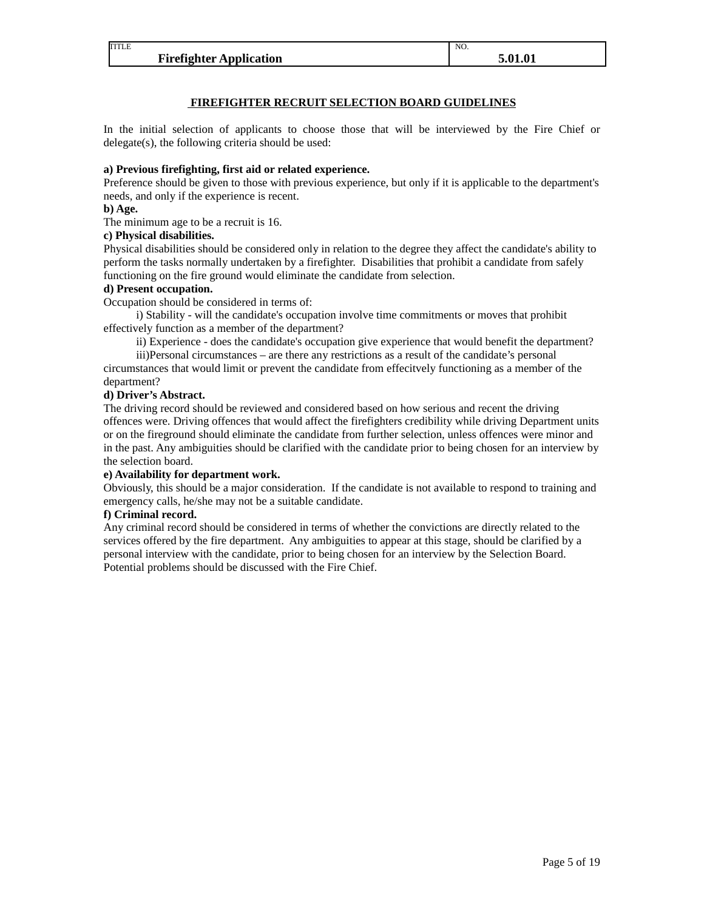| TITLE                          | NO.     |
|--------------------------------|---------|
| <b>Firefighter Application</b> | 5.01.01 |

### **FIREFIGHTER RECRUIT SELECTION BOARD GUIDELINES**

In the initial selection of applicants to choose those that will be interviewed by the Fire Chief or delegate(s), the following criteria should be used:

### **a) Previous firefighting, first aid or related experience.**

Preference should be given to those with previous experience, but only if it is applicable to the department's needs, and only if the experience is recent.

### **b) Age.**

The minimum age to be a recruit is 16.

### **c) Physical disabilities.**

Physical disabilities should be considered only in relation to the degree they affect the candidate's ability to perform the tasks normally undertaken by a firefighter. Disabilities that prohibit a candidate from safely functioning on the fire ground would eliminate the candidate from selection.

### **d) Present occupation.**

Occupation should be considered in terms of:

i) Stability - will the candidate's occupation involve time commitments or moves that prohibit effectively function as a member of the department?

ii) Experience - does the candidate's occupation give experience that would benefit the department?

iii)Personal circumstances – are there any restrictions as a result of the candidate's personal circumstances that would limit or prevent the candidate from effecitvely functioning as a member of the department?

### **d) Driver's Abstract.**

The driving record should be reviewed and considered based on how serious and recent the driving offences were. Driving offences that would affect the firefighters credibility while driving Department units or on the fireground should eliminate the candidate from further selection, unless offences were minor and in the past. Any ambiguities should be clarified with the candidate prior to being chosen for an interview by the selection board.

### **e) Availability for department work.**

Obviously, this should be a major consideration. If the candidate is not available to respond to training and emergency calls, he/she may not be a suitable candidate.

### **f) Criminal record.**

Any criminal record should be considered in terms of whether the convictions are directly related to the services offered by the fire department. Any ambiguities to appear at this stage, should be clarified by a personal interview with the candidate, prior to being chosen for an interview by the Selection Board. Potential problems should be discussed with the Fire Chief.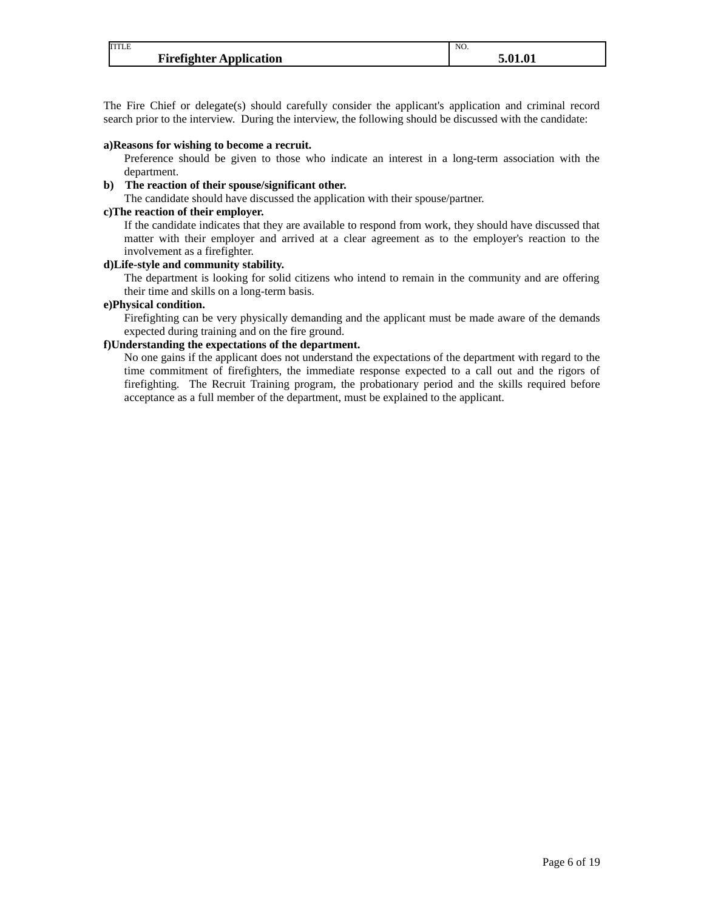| <b>TITLE</b>                   | NO. |
|--------------------------------|-----|
| <b>Firefighter Application</b> |     |

The Fire Chief or delegate(s) should carefully consider the applicant's application and criminal record search prior to the interview. During the interview, the following should be discussed with the candidate:

#### **a)Reasons for wishing to become a recruit.**

Preference should be given to those who indicate an interest in a long-term association with the department.

### **b) The reaction of their spouse/significant other.**

The candidate should have discussed the application with their spouse/partner.

### **c)The reaction of their employer.**

If the candidate indicates that they are available to respond from work, they should have discussed that matter with their employer and arrived at a clear agreement as to the employer's reaction to the involvement as a firefighter.

### **d)Life-style and community stability.**

The department is looking for solid citizens who intend to remain in the community and are offering their time and skills on a long-term basis.

### **e)Physical condition.**

Firefighting can be very physically demanding and the applicant must be made aware of the demands expected during training and on the fire ground.

### **f)Understanding the expectations of the department.**

No one gains if the applicant does not understand the expectations of the department with regard to the time commitment of firefighters, the immediate response expected to a call out and the rigors of firefighting. The Recruit Training program, the probationary period and the skills required before acceptance as a full member of the department, must be explained to the applicant.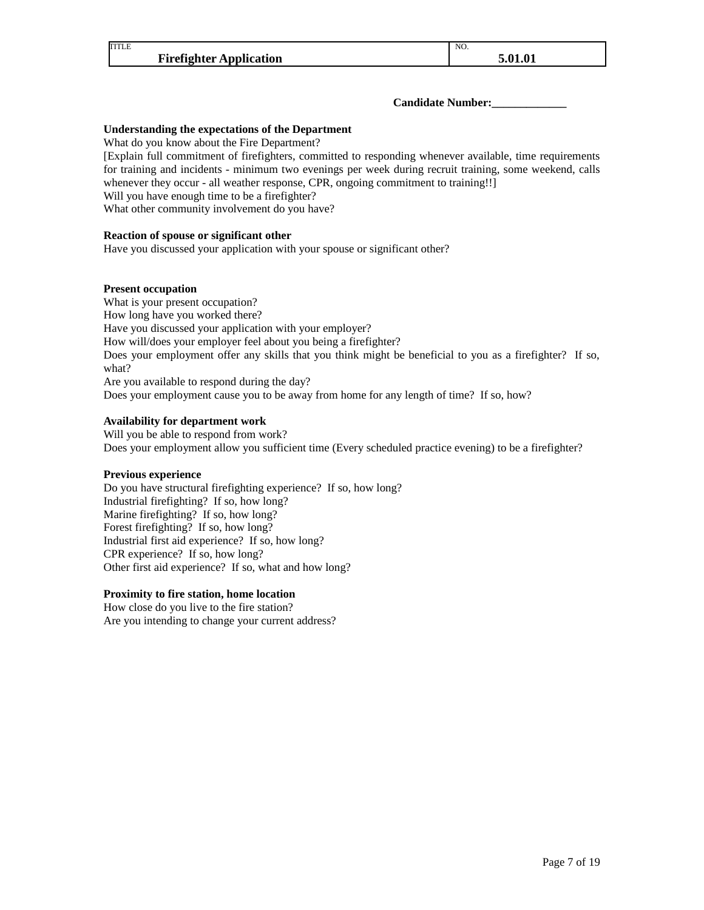### **Candidate Number:\_\_\_\_\_\_\_\_\_\_\_\_\_**

NO.

### **Understanding the expectations of the Department**

What do you know about the Fire Department?

[Explain full commitment of firefighters, committed to responding whenever available, time requirements for training and incidents - minimum two evenings per week during recruit training, some weekend, calls whenever they occur - all weather response, CPR, ongoing commitment to training!!] Will you have enough time to be a firefighter? What other community involvement do you have?

**Reaction of spouse or significant other**

Have you discussed your application with your spouse or significant other?

#### **Present occupation**

What is your present occupation? How long have you worked there? Have you discussed your application with your employer? How will/does your employer feel about you being a firefighter? Does your employment offer any skills that you think might be beneficial to you as a firefighter? If so, what? Are you available to respond during the day? Does your employment cause you to be away from home for any length of time? If so, how?

### **Availability for department work**

Will you be able to respond from work? Does your employment allow you sufficient time (Every scheduled practice evening) to be a firefighter?

#### **Previous experience**

Do you have structural firefighting experience? If so, how long? Industrial firefighting? If so, how long? Marine firefighting? If so, how long? Forest firefighting? If so, how long? Industrial first aid experience? If so, how long? CPR experience? If so, how long? Other first aid experience? If so, what and how long?

### **Proximity to fire station, home location**

How close do you live to the fire station? Are you intending to change your current address?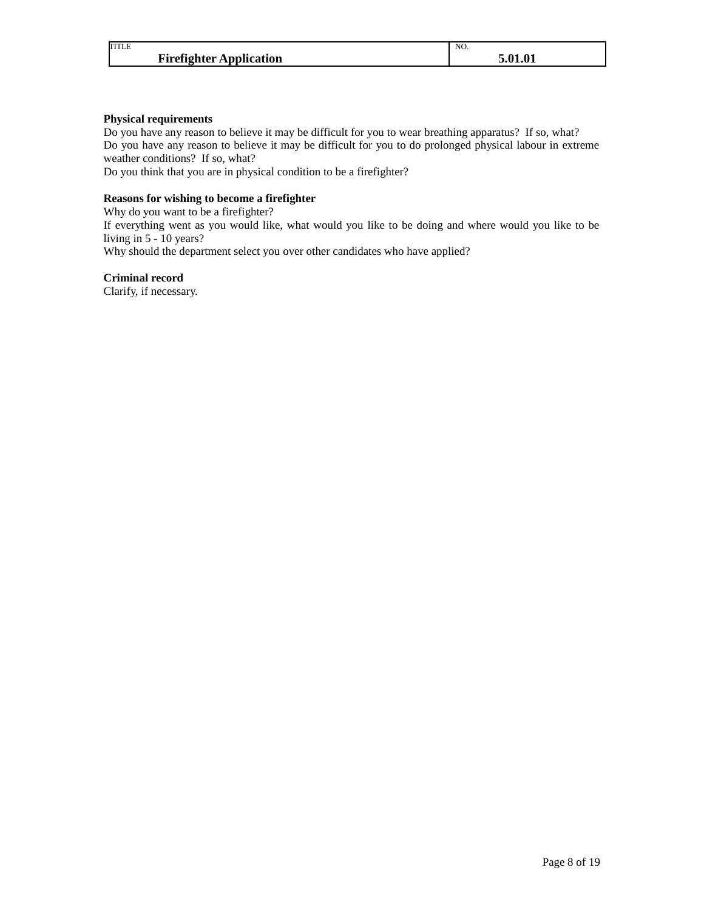| <b>TITLE</b>                   | NO.     |
|--------------------------------|---------|
| <b>Firefighter Application</b> | 5.01.01 |

### **Physical requirements**

Do you have any reason to believe it may be difficult for you to wear breathing apparatus? If so, what? Do you have any reason to believe it may be difficult for you to do prolonged physical labour in extreme weather conditions? If so, what?

Do you think that you are in physical condition to be a firefighter?

### **Reasons for wishing to become a firefighter**

Why do you want to be a firefighter?

If everything went as you would like, what would you like to be doing and where would you like to be living in 5 - 10 years?

Why should the department select you over other candidates who have applied?

### **Criminal record**

Clarify, if necessary.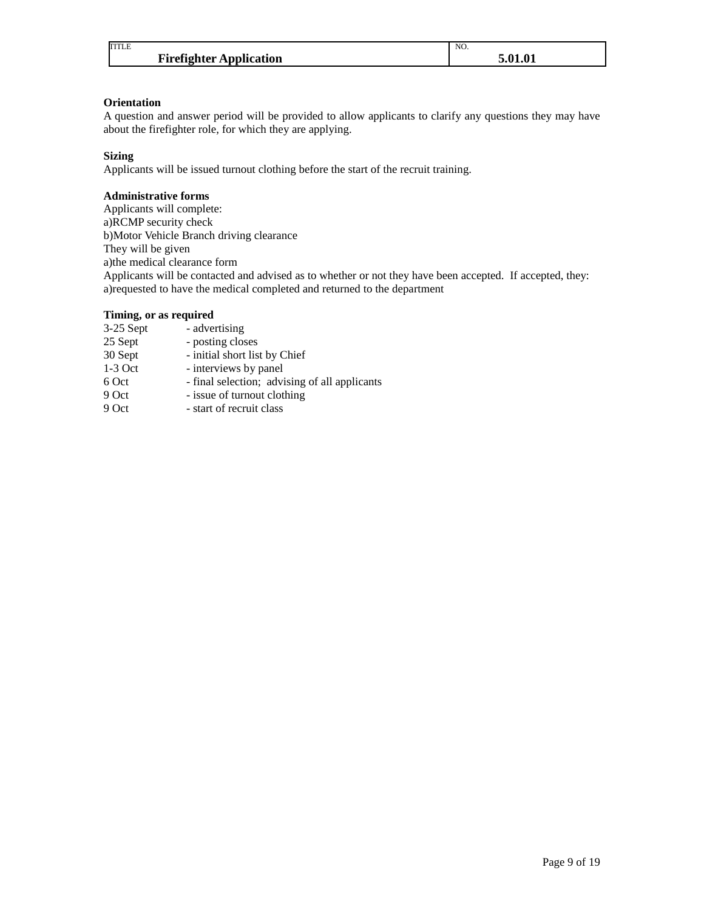| <b>TITLE</b>                   | NO.     |
|--------------------------------|---------|
| <b>Firefighter Application</b> | 5.01.01 |

### **Orientation**

A question and answer period will be provided to allow applicants to clarify any questions they may have about the firefighter role, for which they are applying.

### **Sizing**

Applicants will be issued turnout clothing before the start of the recruit training.

### **Administrative forms**

Applicants will complete: a)RCMP security check b)Motor Vehicle Branch driving clearance They will be given a)the medical clearance form Applicants will be contacted and advised as to whether or not they have been accepted. If accepted, they: a)requested to have the medical completed and returned to the department

### **Timing, or as required**

| 3-25 Sept | - advertising                                 |
|-----------|-----------------------------------------------|
| 25 Sept   | - posting closes                              |
| 30 Sept   | - initial short list by Chief                 |
| $1-3$ Oct | - interviews by panel                         |
| 6 Oct     | - final selection; advising of all applicants |
| 9 Oct     | - issue of turnout clothing                   |
| 0.04      | الممام المناصب وبالكم المتمني                 |

9 Oct - start of recruit class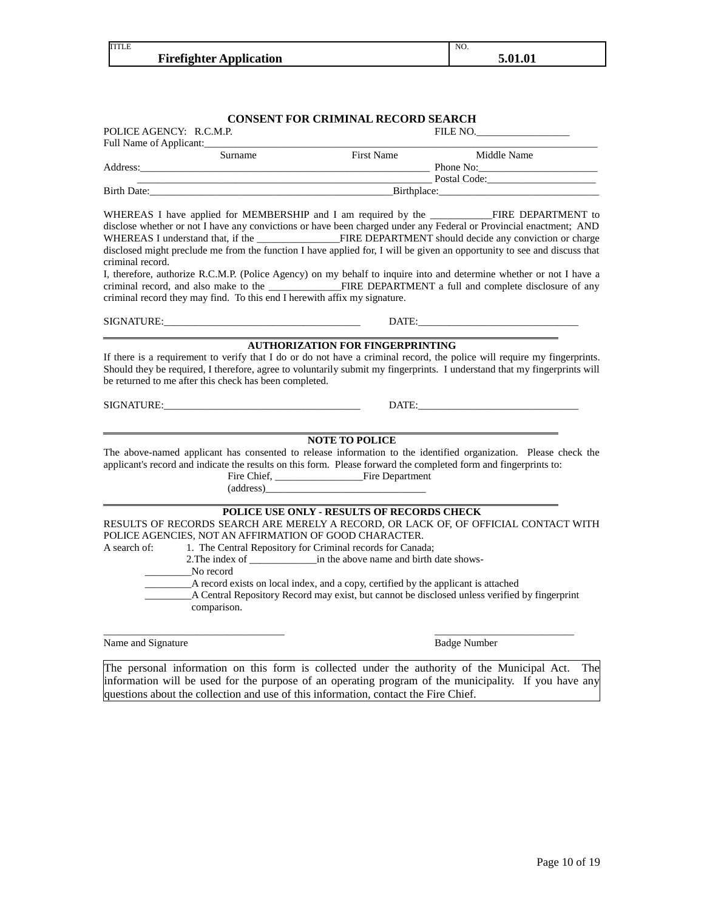| TITLE |                                | NO. |         |
|-------|--------------------------------|-----|---------|
|       | <b>Firefighter Application</b> |     | 5.01.01 |
|       |                                |     |         |
|       |                                |     |         |

|                         |                                                                                                                                                                                                                                                                                          | <b>CONSENT FOR CRIMINAL RECORD SEARCH</b>                                                                                                                                                                                                                                                                                                                                                                                                                                |                                                                                                                                                                                                                                                                                                                                                                                                                                                                         |
|-------------------------|------------------------------------------------------------------------------------------------------------------------------------------------------------------------------------------------------------------------------------------------------------------------------------------|--------------------------------------------------------------------------------------------------------------------------------------------------------------------------------------------------------------------------------------------------------------------------------------------------------------------------------------------------------------------------------------------------------------------------------------------------------------------------|-------------------------------------------------------------------------------------------------------------------------------------------------------------------------------------------------------------------------------------------------------------------------------------------------------------------------------------------------------------------------------------------------------------------------------------------------------------------------|
| POLICE AGENCY: R.C.M.P. |                                                                                                                                                                                                                                                                                          |                                                                                                                                                                                                                                                                                                                                                                                                                                                                          | FILE NO.                                                                                                                                                                                                                                                                                                                                                                                                                                                                |
|                         | Full Name of Applicant:<br><u>Letting and the substitute of Applicant</u>                                                                                                                                                                                                                |                                                                                                                                                                                                                                                                                                                                                                                                                                                                          |                                                                                                                                                                                                                                                                                                                                                                                                                                                                         |
|                         | Surname                                                                                                                                                                                                                                                                                  | First Name                                                                                                                                                                                                                                                                                                                                                                                                                                                               | Middle Name                                                                                                                                                                                                                                                                                                                                                                                                                                                             |
|                         |                                                                                                                                                                                                                                                                                          |                                                                                                                                                                                                                                                                                                                                                                                                                                                                          |                                                                                                                                                                                                                                                                                                                                                                                                                                                                         |
|                         |                                                                                                                                                                                                                                                                                          |                                                                                                                                                                                                                                                                                                                                                                                                                                                                          |                                                                                                                                                                                                                                                                                                                                                                                                                                                                         |
|                         |                                                                                                                                                                                                                                                                                          |                                                                                                                                                                                                                                                                                                                                                                                                                                                                          |                                                                                                                                                                                                                                                                                                                                                                                                                                                                         |
| criminal record.        |                                                                                                                                                                                                                                                                                          | criminal record they may find. To this end I herewith affix my signature.                                                                                                                                                                                                                                                                                                                                                                                                | WHEREAS I have applied for MEMBERSHIP and I am required by the _____________FIRE DEPARTMENT to<br>disclose whether or not I have any convictions or have been charged under any Federal or Provincial enactment; AND<br>disclosed might preclude me from the function I have applied for, I will be given an opportunity to see and discuss that<br>I, therefore, authorize R.C.M.P. (Police Agency) on my behalf to inquire into and determine whether or not I have a |
|                         | SIGNATURE: The contract of the contract of the contract of the contract of the contract of the contract of the contract of the contract of the contract of the contract of the contract of the contract of the contract of the                                                           |                                                                                                                                                                                                                                                                                                                                                                                                                                                                          | DATE: The contract of the contract of the contract of the contract of the contract of the contract of the contract of the contract of the contract of the contract of the contract of the contract of the contract of the cont                                                                                                                                                                                                                                          |
|                         | be returned to me after this check has been completed.<br>SIGNATURE: New York SIGNATURE And the Contract of the Contract of the Contract of the Contract of the Contract of the Contract of the Contract of the Contract of the Contract of the Contract of the Contract of the Contract |                                                                                                                                                                                                                                                                                                                                                                                                                                                                          | Should they be required, I therefore, agree to voluntarily submit my fingerprints. I understand that my fingerprints will<br>DATE:                                                                                                                                                                                                                                                                                                                                      |
|                         |                                                                                                                                                                                                                                                                                          | <b>NOTE TO POLICE</b><br>applicant's record and indicate the results on this form. Please forward the completed form and fingerprints to:<br>$(address)$ and $(address)$ and $(address)$ and $(address)$ and $(class)$ and $(class)$ and $(class)$ and $(class)$ and $(class)$ and $(class)$ and $(class)$ and $(class)$ and $(class)$ and $(class)$ and $(class)$ and $(class)$ and $(class)$ and $(class)$ and $(class)$ and $(class)$ and $(class)$ and $(class)$ and | The above-named applicant has consented to release information to the identified organization. Please check the                                                                                                                                                                                                                                                                                                                                                         |
| A search of:            | No record<br>comparison.                                                                                                                                                                                                                                                                 | POLICE USE ONLY - RESULTS OF RECORDS CHECK<br>POLICE AGENCIES, NOT AN AFFIRMATION OF GOOD CHARACTER.<br>1. The Central Repository for Criminal records for Canada;<br>A record exists on local index, and a copy, certified by the applicant is attached                                                                                                                                                                                                                 | RESULTS OF RECORDS SEARCH ARE MERELY A RECORD, OR LACK OF, OF OFFICIAL CONTACT WITH<br>A Central Repository Record may exist, but cannot be disclosed unless verified by fingerprint                                                                                                                                                                                                                                                                                    |
| Name and Signature      |                                                                                                                                                                                                                                                                                          |                                                                                                                                                                                                                                                                                                                                                                                                                                                                          | <b>Badge Number</b>                                                                                                                                                                                                                                                                                                                                                                                                                                                     |

The personal information on this form is collected under the authority of the Municipal Act. The information will be used for the purpose of an operating program of the municipality. If you have any questions about the collection and use of this information, contact the Fire Chief.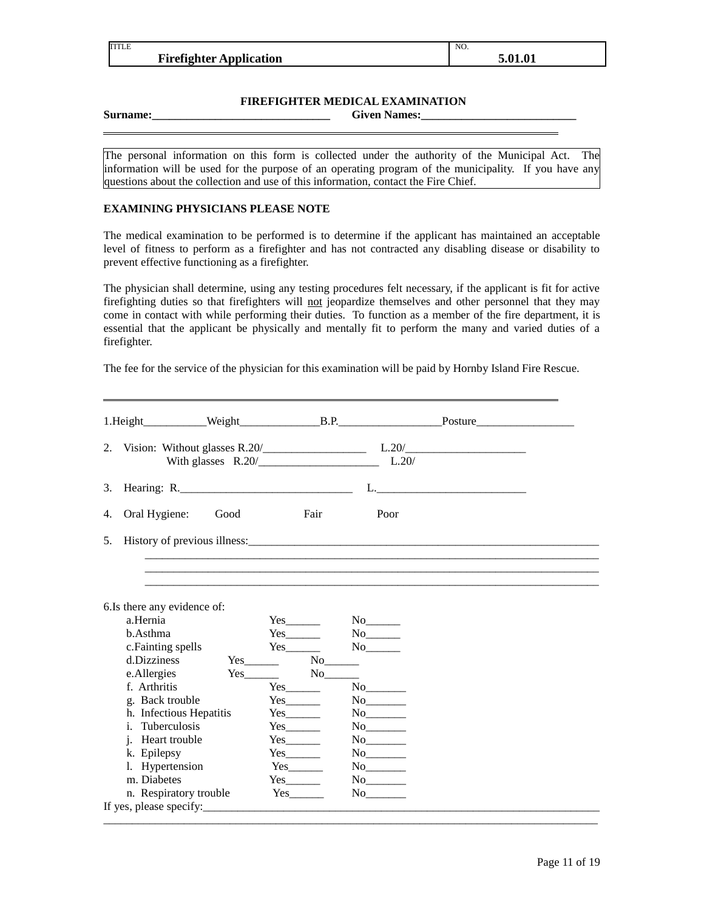| TITLE                          | NO.     |
|--------------------------------|---------|
| <b>Firefighter Application</b> | 5.01.01 |
|                                |         |

### **FIREFIGHTER MEDICAL EXAMINATION**

**Surname:\_\_\_\_\_\_\_\_\_\_\_\_\_\_\_\_\_\_\_\_\_\_\_\_\_\_\_\_\_\_\_ Given Names:\_\_\_\_\_\_\_\_\_\_\_\_\_\_\_\_\_\_\_\_\_\_\_\_\_\_\_**

The personal information on this form is collected under the authority of the Municipal Act. The information will be used for the purpose of an operating program of the municipality. If you have any questions about the collection and use of this information, contact the Fire Chief.

### **EXAMINING PHYSICIANS PLEASE NOTE**

The medical examination to be performed is to determine if the applicant has maintained an acceptable level of fitness to perform as a firefighter and has not contracted any disabling disease or disability to prevent effective functioning as a firefighter.

The physician shall determine, using any testing procedures felt necessary, if the applicant is fit for active firefighting duties so that firefighters will not jeopardize themselves and other personnel that they may come in contact with while performing their duties. To function as a member of the fire department, it is essential that the applicant be physically and mentally fit to perform the many and varied duties of a firefighter.

The fee for the service of the physician for this examination will be paid by Hornby Island Fire Rescue.

|    |                                                                                                                                                                                                                               |                      |                                                                                                                           |                                           | 2. Vision: Without glasses R.20/ $\qquad \qquad$ L.20/ $\qquad \qquad$ |
|----|-------------------------------------------------------------------------------------------------------------------------------------------------------------------------------------------------------------------------------|----------------------|---------------------------------------------------------------------------------------------------------------------------|-------------------------------------------|------------------------------------------------------------------------|
| 3. | Hearing: R.                                                                                                                                                                                                                   |                      |                                                                                                                           |                                           |                                                                        |
| 4. | Oral Hygiene:                                                                                                                                                                                                                 | Good                 | Fair                                                                                                                      | Poor                                      |                                                                        |
| 5. |                                                                                                                                                                                                                               |                      |                                                                                                                           |                                           |                                                                        |
|    |                                                                                                                                                                                                                               |                      |                                                                                                                           |                                           |                                                                        |
|    | 6.Is there any evidence of:<br>a.Hernia<br>b.Asthma<br>c. Fainting spells<br>d.Dizziness<br>e.Allergies<br>f. Arthritis<br>g. Back trouble                                                                                    | $Yes$ No $No$<br>Yes | $Yes$ <sub>_________</sub><br>$Yes$ <sub>_________</sub><br>$\overline{\phantom{a}}$ No $\overline{\phantom{a}}$<br>$Yes$ | $No$ <sub>________</sub><br>$\mathrm{No}$ |                                                                        |
|    | h. Infectious Hepatitis<br><i>i.</i> Tuberculosis<br>j. Heart trouble<br>k. Epilepsy<br>l. Hypertension<br>m. Diabetes<br>n. Respiratory trouble                                                                              |                      | $Yes$ <sub>_________</sub><br>$Yes$ <sub>_________</sub>                                                                  |                                           |                                                                        |
|    | If yes, please specify: The set of the set of the set of the set of the set of the set of the set of the set of the set of the set of the set of the set of the set of the set of the set of the set of the set of the set of |                      |                                                                                                                           |                                           |                                                                        |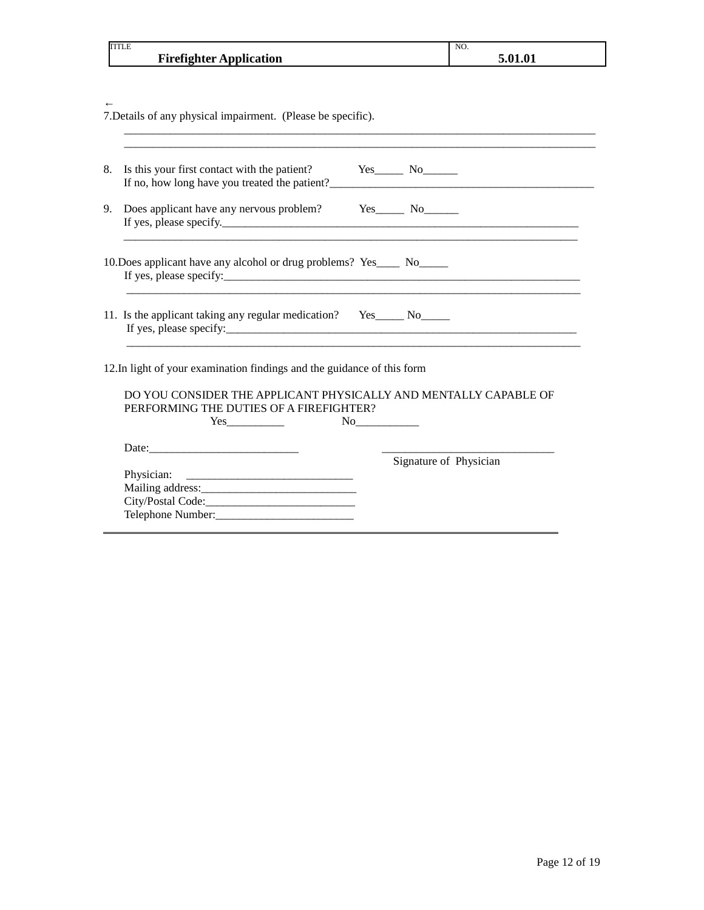| TITLE                          | NO.   |
|--------------------------------|-------|
| <b>Firefighter Application</b> | . A 1 |

← 7.Details of any physical impairment. (Please be specific).  $\mathcal{L}_\mathcal{L} = \{ \mathcal{L}_\mathcal{L} = \{ \mathcal{L}_\mathcal{L} = \{ \mathcal{L}_\mathcal{L} = \{ \mathcal{L}_\mathcal{L} = \{ \mathcal{L}_\mathcal{L} = \{ \mathcal{L}_\mathcal{L} = \{ \mathcal{L}_\mathcal{L} = \{ \mathcal{L}_\mathcal{L} = \{ \mathcal{L}_\mathcal{L} = \{ \mathcal{L}_\mathcal{L} = \{ \mathcal{L}_\mathcal{L} = \{ \mathcal{L}_\mathcal{L} = \{ \mathcal{L}_\mathcal{L} = \{ \mathcal{L}_\mathcal{$ 

| 8. | Is this your first contact with the patient? Yes No<br>If no, how long have you treated the patient?<br><u>If</u> no, how long have you treated the patient?                                                                                                                                                                                                                                         |                        |
|----|------------------------------------------------------------------------------------------------------------------------------------------------------------------------------------------------------------------------------------------------------------------------------------------------------------------------------------------------------------------------------------------------------|------------------------|
| 9. | Does applicant have any nervous problem? Yes No                                                                                                                                                                                                                                                                                                                                                      |                        |
|    | 10. Does applicant have any alcohol or drug problems? Yes_____ No_____<br>If yes, please specify: The contract of the contract of the contract of the contract of the contract of the contract of the contract of the contract of the contract of the contract of the contract of the contract of the co                                                                                             |                        |
|    | 11. Is the applicant taking any regular medication?   Yes______ No_____                                                                                                                                                                                                                                                                                                                              |                        |
|    | 12. In light of your examination findings and the guidance of this form                                                                                                                                                                                                                                                                                                                              |                        |
|    | DO YOU CONSIDER THE APPLICANT PHYSICALLY AND MENTALLY CAPABLE OF<br>PERFORMING THE DUTIES OF A FIREFIGHTER?<br>$Yes$ and $Yes$ and $Yes$ and $Yes$ and $Yes$ and $Yes$ and $Yes$ and $Yes$ and $Yes$ and $Yes$ and $Yes$ and $Yes$ and $Yes$ and $Yes$ and $Yes$ and $Yes$ and $Yes$ and $Yes$ and $Yes$ and $Yes$ and $Yes$ and $Yes$ and $Yes$ and $Yes$ and $Yes$ and $Yes$ and $Yes$ and $Yes$ a |                        |
|    | Date:                                                                                                                                                                                                                                                                                                                                                                                                |                        |
|    |                                                                                                                                                                                                                                                                                                                                                                                                      | Signature of Physician |
|    |                                                                                                                                                                                                                                                                                                                                                                                                      |                        |
|    |                                                                                                                                                                                                                                                                                                                                                                                                      |                        |
|    |                                                                                                                                                                                                                                                                                                                                                                                                      |                        |
|    |                                                                                                                                                                                                                                                                                                                                                                                                      |                        |

 $\overline{\phantom{a}}$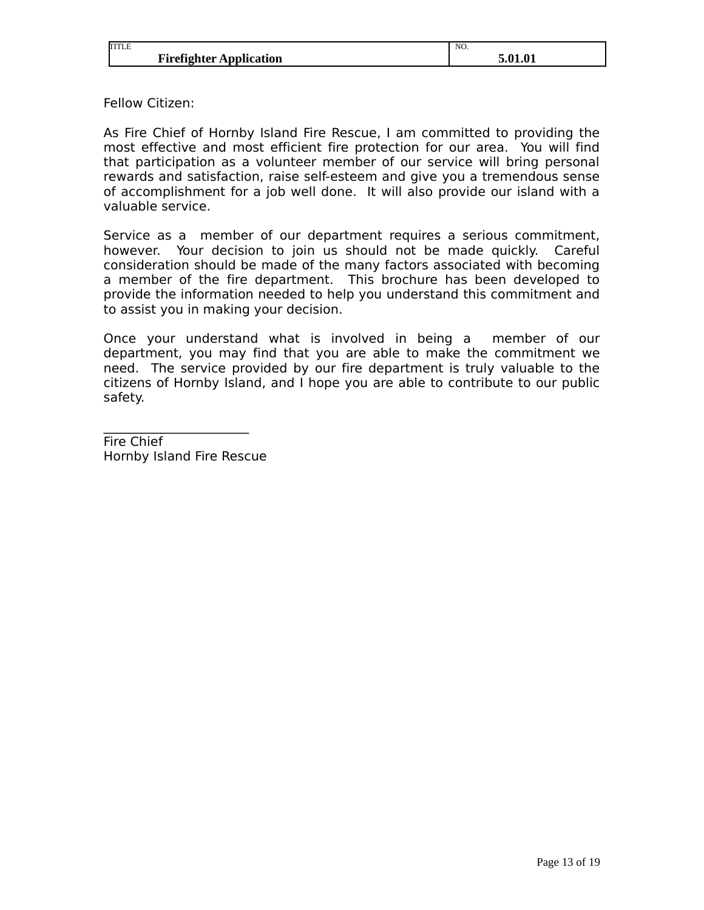| <b>TITLE</b>                   | NO.                       |
|--------------------------------|---------------------------|
| <b>Firefighter Application</b> | <b>COM</b><br>ว.บ<br>1.V. |

Fellow Citizen:

As Fire Chief of Hornby Island Fire Rescue, I am committed to providing the most effective and most efficient fire protection for our area. You will find that participation as a volunteer member of our service will bring personal rewards and satisfaction, raise self-esteem and give you a tremendous sense of accomplishment for a job well done. It will also provide our island with a valuable service.

Service as a member of our department requires a serious commitment, however. Your decision to join us should not be made quickly. Careful consideration should be made of the many factors associated with becoming a member of the fire department. This brochure has been developed to provide the information needed to help you understand this commitment and to assist you in making your decision.

Once your understand what is involved in being a member of our department, you may find that you are able to make the commitment we need. The service provided by our fire department is truly valuable to the citizens of Hornby Island, and I hope you are able to contribute to our public safety.

Fire Chief Hornby Island Fire Rescue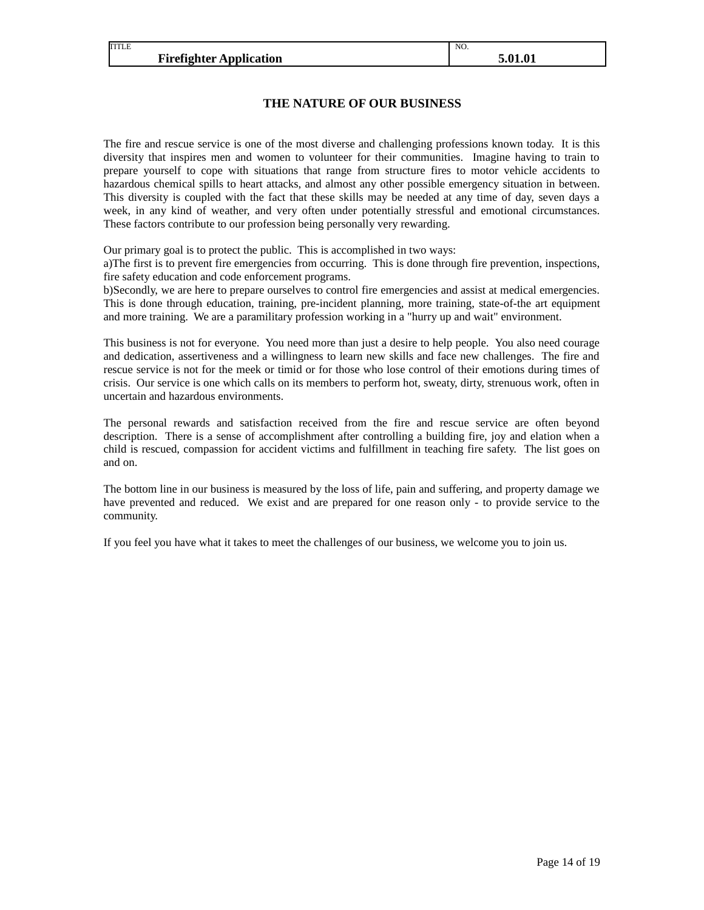TITLE

NO.

### **THE NATURE OF OUR BUSINESS**

The fire and rescue service is one of the most diverse and challenging professions known today. It is this diversity that inspires men and women to volunteer for their communities. Imagine having to train to prepare yourself to cope with situations that range from structure fires to motor vehicle accidents to hazardous chemical spills to heart attacks, and almost any other possible emergency situation in between. This diversity is coupled with the fact that these skills may be needed at any time of day, seven days a week, in any kind of weather, and very often under potentially stressful and emotional circumstances. These factors contribute to our profession being personally very rewarding.

Our primary goal is to protect the public. This is accomplished in two ways:

a)The first is to prevent fire emergencies from occurring. This is done through fire prevention, inspections, fire safety education and code enforcement programs.

b)Secondly, we are here to prepare ourselves to control fire emergencies and assist at medical emergencies. This is done through education, training, pre-incident planning, more training, state-of-the art equipment and more training. We are a paramilitary profession working in a "hurry up and wait" environment.

This business is not for everyone. You need more than just a desire to help people. You also need courage and dedication, assertiveness and a willingness to learn new skills and face new challenges. The fire and rescue service is not for the meek or timid or for those who lose control of their emotions during times of crisis. Our service is one which calls on its members to perform hot, sweaty, dirty, strenuous work, often in uncertain and hazardous environments.

The personal rewards and satisfaction received from the fire and rescue service are often beyond description. There is a sense of accomplishment after controlling a building fire, joy and elation when a child is rescued, compassion for accident victims and fulfillment in teaching fire safety. The list goes on and on.

The bottom line in our business is measured by the loss of life, pain and suffering, and property damage we have prevented and reduced. We exist and are prepared for one reason only - to provide service to the community.

If you feel you have what it takes to meet the challenges of our business, we welcome you to join us.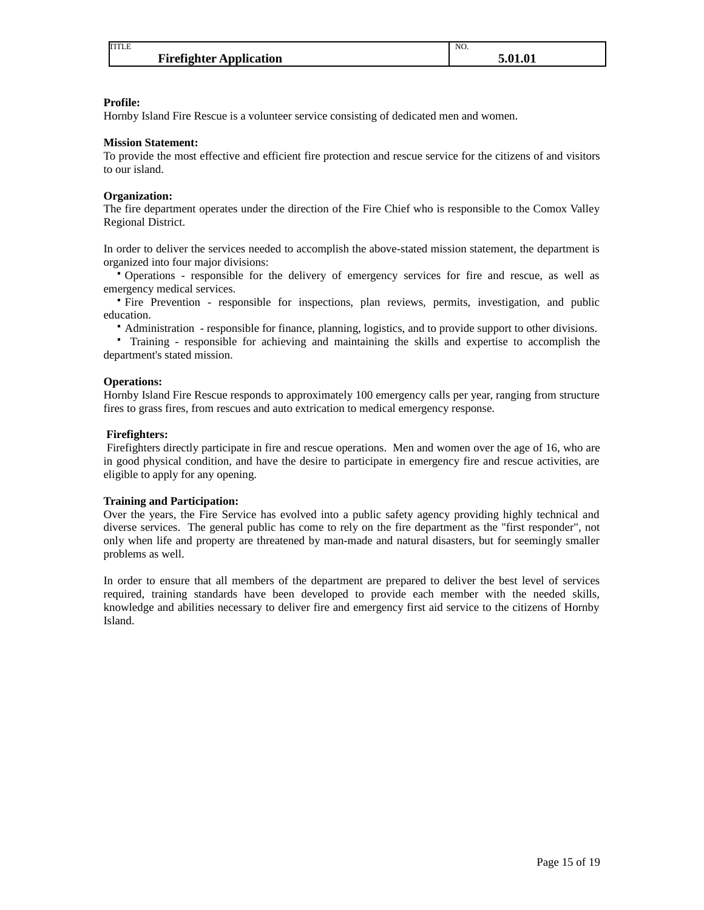| <b>TITLE</b>                   | NO.     |
|--------------------------------|---------|
| <b>Firefighter Application</b> | 5.01.01 |

#### **Profile:**

Hornby Island Fire Rescue is a volunteer service consisting of dedicated men and women.

### **Mission Statement:**

To provide the most effective and efficient fire protection and rescue service for the citizens of and visitors to our island.

### **Organization:**

The fire department operates under the direction of the Fire Chief who is responsible to the Comox Valley Regional District.

In order to deliver the services needed to accomplish the above-stated mission statement, the department is organized into four major divisions:

Operations - responsible for the delivery of emergency services for fire and rescue, as well as emergency medical services.

Fire Prevention - responsible for inspections, plan reviews, permits, investigation, and public education.

Administration - responsible for finance, planning, logistics, and to provide support to other divisions.

 Training - responsible for achieving and maintaining the skills and expertise to accomplish the department's stated mission.

### **Operations:**

Hornby Island Fire Rescue responds to approximately 100 emergency calls per year, ranging from structure fires to grass fires, from rescues and auto extrication to medical emergency response.

### **Firefighters:**

 Firefighters directly participate in fire and rescue operations. Men and women over the age of 16, who are in good physical condition, and have the desire to participate in emergency fire and rescue activities, are eligible to apply for any opening.

#### **Training and Participation:**

Over the years, the Fire Service has evolved into a public safety agency providing highly technical and diverse services. The general public has come to rely on the fire department as the "first responder", not only when life and property are threatened by man-made and natural disasters, but for seemingly smaller problems as well.

In order to ensure that all members of the department are prepared to deliver the best level of services required, training standards have been developed to provide each member with the needed skills, knowledge and abilities necessary to deliver fire and emergency first aid service to the citizens of Hornby Island.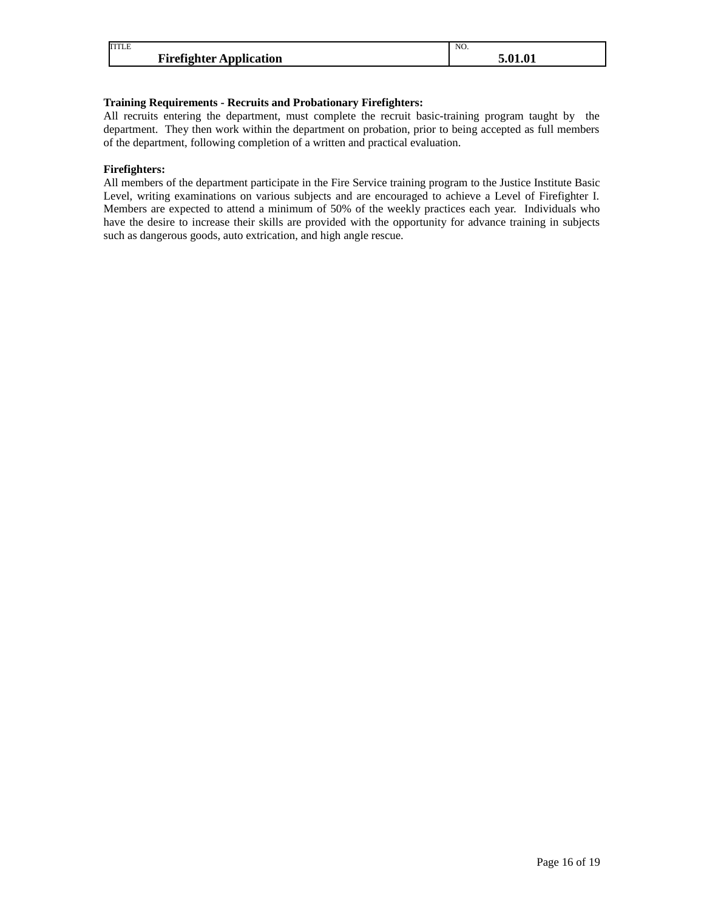| <b>TITLE</b>                   | NO. |
|--------------------------------|-----|
| <b>Firefighter Application</b> | л.  |

### **Training Requirements - Recruits and Probationary Firefighters:**

All recruits entering the department, must complete the recruit basic-training program taught by the department. They then work within the department on probation, prior to being accepted as full members of the department, following completion of a written and practical evaluation.

### **Firefighters:**

All members of the department participate in the Fire Service training program to the Justice Institute Basic Level, writing examinations on various subjects and are encouraged to achieve a Level of Firefighter I. Members are expected to attend a minimum of 50% of the weekly practices each year. Individuals who have the desire to increase their skills are provided with the opportunity for advance training in subjects such as dangerous goods, auto extrication, and high angle rescue.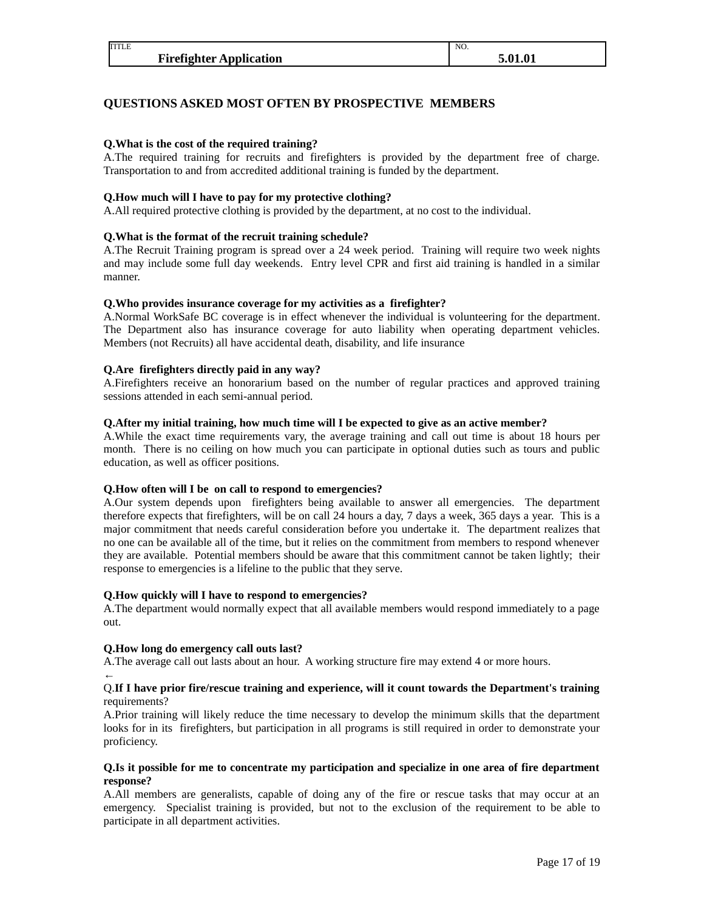### **QUESTIONS ASKED MOST OFTEN BY PROSPECTIVE MEMBERS**

### **Q.What is the cost of the required training?**

TITLE

A.The required training for recruits and firefighters is provided by the department free of charge. Transportation to and from accredited additional training is funded by the department.

### **Q.How much will I have to pay for my protective clothing?**

A.All required protective clothing is provided by the department, at no cost to the individual.

### **Q.What is the format of the recruit training schedule?**

A.The Recruit Training program is spread over a 24 week period. Training will require two week nights and may include some full day weekends. Entry level CPR and first aid training is handled in a similar manner.

### **Q.Who provides insurance coverage for my activities as a firefighter?**

A.Normal WorkSafe BC coverage is in effect whenever the individual is volunteering for the department. The Department also has insurance coverage for auto liability when operating department vehicles. Members (not Recruits) all have accidental death, disability, and life insurance

### **Q.Are firefighters directly paid in any way?**

A.Firefighters receive an honorarium based on the number of regular practices and approved training sessions attended in each semi-annual period.

### **Q.After my initial training, how much time will I be expected to give as an active member?**

A.While the exact time requirements vary, the average training and call out time is about 18 hours per month. There is no ceiling on how much you can participate in optional duties such as tours and public education, as well as officer positions.

#### **Q.How often will I be on call to respond to emergencies?**

A.Our system depends upon firefighters being available to answer all emergencies. The department therefore expects that firefighters, will be on call 24 hours a day, 7 days a week, 365 days a year. This is a major commitment that needs careful consideration before you undertake it. The department realizes that no one can be available all of the time, but it relies on the commitment from members to respond whenever they are available. Potential members should be aware that this commitment cannot be taken lightly; their response to emergencies is a lifeline to the public that they serve.

#### **Q.How quickly will I have to respond to emergencies?**

A.The department would normally expect that all available members would respond immediately to a page out.

### **Q.How long do emergency call outs last?**

A.The average call out lasts about an hour. A working structure fire may extend 4 or more hours.

#### ← Q.**If I have prior fire/rescue training and experience, will it count towards the Department's training** requirements?

A.Prior training will likely reduce the time necessary to develop the minimum skills that the department looks for in its firefighters, but participation in all programs is still required in order to demonstrate your proficiency.

### **Q.Is it possible for me to concentrate my participation and specialize in one area of fire department response?**

A.All members are generalists, capable of doing any of the fire or rescue tasks that may occur at an emergency. Specialist training is provided, but not to the exclusion of the requirement to be able to participate in all department activities.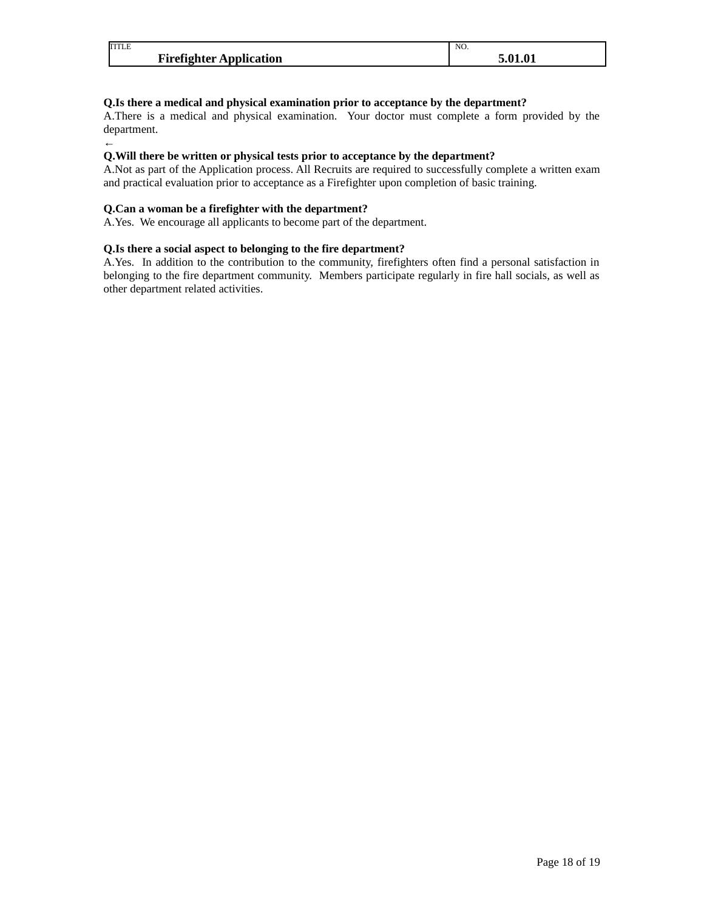| <b>TITLE</b>                   | NO.               |
|--------------------------------|-------------------|
| <b>Firefighter Application</b> | F 01 01<br>5.U1.U |

### **Q.Is there a medical and physical examination prior to acceptance by the department?**

A.There is a medical and physical examination. Your doctor must complete a form provided by the department.

#### ← **Q.Will there be written or physical tests prior to acceptance by the department?**

A.Not as part of the Application process. All Recruits are required to successfully complete a written exam and practical evaluation prior to acceptance as a Firefighter upon completion of basic training.

### **Q.Can a woman be a firefighter with the department?**

A.Yes. We encourage all applicants to become part of the department.

### **Q.Is there a social aspect to belonging to the fire department?**

A.Yes. In addition to the contribution to the community, firefighters often find a personal satisfaction in belonging to the fire department community. Members participate regularly in fire hall socials, as well as other department related activities.